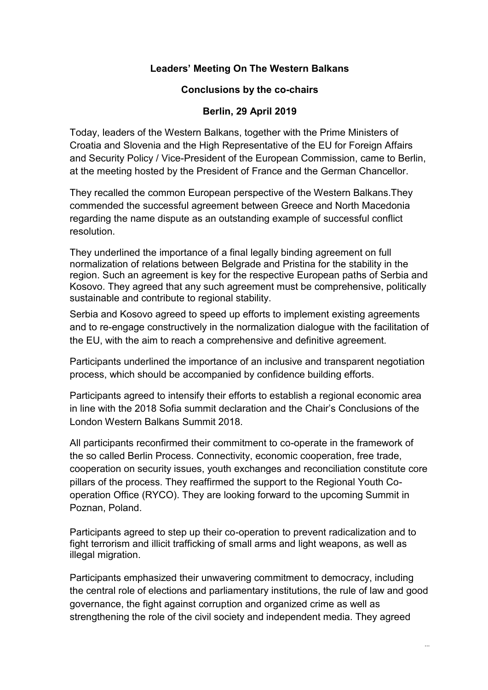## **Leaders' Meeting On The Western Balkans**

## **Conclusions by the co-chairs**

## **Berlin, 29 April 2019**

Today, leaders of the Western Balkans, together with the Prime Ministers of Croatia and Slovenia and the High Representative of the EU for Foreign Affairs and Security Policy / Vice-President of the European Commission, came to Berlin, at the meeting hosted by the President of France and the German Chancellor.

They recalled the common European perspective of the Western Balkans.They commended the successful agreement between Greece and North Macedonia regarding the name dispute as an outstanding example of successful conflict resolution.

They underlined the importance of a final legally binding agreement on full normalization of relations between Belgrade and Pristina for the stability in the region. Such an agreement is key for the respective European paths of Serbia and Kosovo. They agreed that any such agreement must be comprehensive, politically sustainable and contribute to regional stability.

Serbia and Kosovo agreed to speed up efforts to implement existing agreements and to re-engage constructively in the normalization dialogue with the facilitation of the EU, with the aim to reach a comprehensive and definitive agreement.

Participants underlined the importance of an inclusive and transparent negotiation process, which should be accompanied by confidence building efforts.

Participants agreed to intensify their efforts to establish a regional economic area in line with the 2018 Sofia summit declaration and the Chair's Conclusions of the London Western Balkans Summit 2018.

All participants reconfirmed their commitment to co-operate in the framework of the so called Berlin Process. Connectivity, economic cooperation, free trade, cooperation on security issues, youth exchanges and reconciliation constitute core pillars of the process. They reaffirmed the support to the Regional Youth Cooperation Office (RYCO). They are looking forward to the upcoming Summit in Poznan, Poland.

Participants agreed to step up their co-operation to prevent radicalization and to fight terrorism and illicit trafficking of small arms and light weapons, as well as illegal migration.

Participants emphasized their unwavering commitment to democracy, including the central role of elections and parliamentary institutions, the rule of law and good governance, the fight against corruption and organized crime as well as strengthening the role of the civil society and independent media. They agreed

...